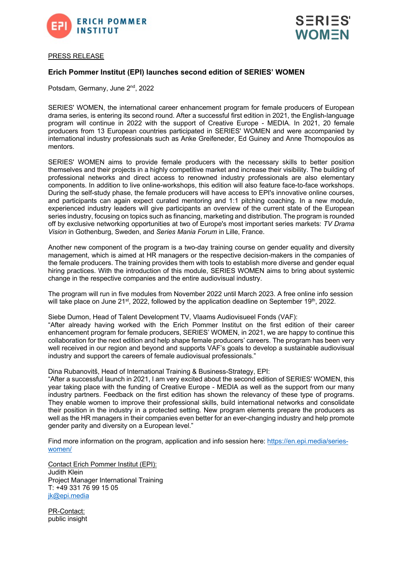



## PRESS RELEASE

## **Erich Pommer Institut (EPI) launches second edition of SERIES' WOMEN**

Potsdam, Germany, June 2<sup>nd</sup>, 2022

SERIES' WOMEN, the international career enhancement program for female producers of European drama series, is entering its second round. After a successful first edition in 2021, the English-language program will continue in 2022 with the support of Creative Europe - MEDIA. In 2021, 20 female producers from 13 European countries participated in SERIES' WOMEN and were accompanied by international industry professionals such as Anke Greifeneder, Ed Guiney and Anne Thomopoulos as mentors.

SERIES' WOMEN aims to provide female producers with the necessary skills to better position themselves and their projects in a highly competitive market and increase their visibility. The building of professional networks and direct access to renowned industry professionals are also elementary components. In addition to live online-workshops, this edition will also feature face-to-face workshops. During the self-study phase, the female producers will have access to EPI's innovative online courses, and participants can again expect curated mentoring and 1:1 pitching coaching. In a new module, experienced industry leaders will give participants an overview of the current state of the European series industry, focusing on topics such as financing, marketing and distribution. The program is rounded off by exclusive networking opportunities at two of Europe's most important series markets: *TV Drama Vision* in Gothenburg, Sweden, and *Series Mania Forum* in Lille, France.

Another new component of the program is a two-day training course on gender equality and diversity management, which is aimed at HR managers or the respective decision-makers in the companies of the female producers. The training provides them with tools to establish more diverse and gender equal hiring practices. With the introduction of this module, SERIES WOMEN aims to bring about systemic change in the respective companies and the entire audiovisual industry.

The program will run in five modules from November 2022 until March 2023. A free online info session will take place on June  $21^{st}$ , 2022, followed by the application deadline on September 19<sup>th</sup>, 2022.

Siebe Dumon, Head of Talent Development TV, Vlaams Audiovisueel Fonds (VAF):

"After already having worked with the Erich Pommer Institut on the first edition of their career enhancement program for female producers, SERIES' WOMEN, in 2021, we are happy to continue this collaboration for the next edition and help shape female producers' careers. The program has been very well received in our region and beyond and supports VAF's goals to develop a sustainable audiovisual industry and support the careers of female audiovisual professionals."

Dina Rubanovitš, Head of International Training & Business-Strategy, EPI:

"After a successful launch in 2021, I am very excited about the second edition of SERIES' WOMEN, this year taking place with the funding of Creative Europe - MEDIA as well as the support from our many industry partners. Feedback on the first edition has shown the relevancy of these type of programs. They enable women to improve their professional skills, build international networks and consolidate their position in the industry in a protected setting. New program elements prepare the producers as well as the HR managers in their companies even better for an ever-changing industry and help promote gender parity and diversity on a European level."

Find more information on the program, application and info session here: https://en.epi.media/serieswomen/

Contact Erich Pommer Institut (EPI): Judith Klein Project Manager International Training T: +49 331 76 99 15 05 jk@epi.media

PR-Contact: public insight